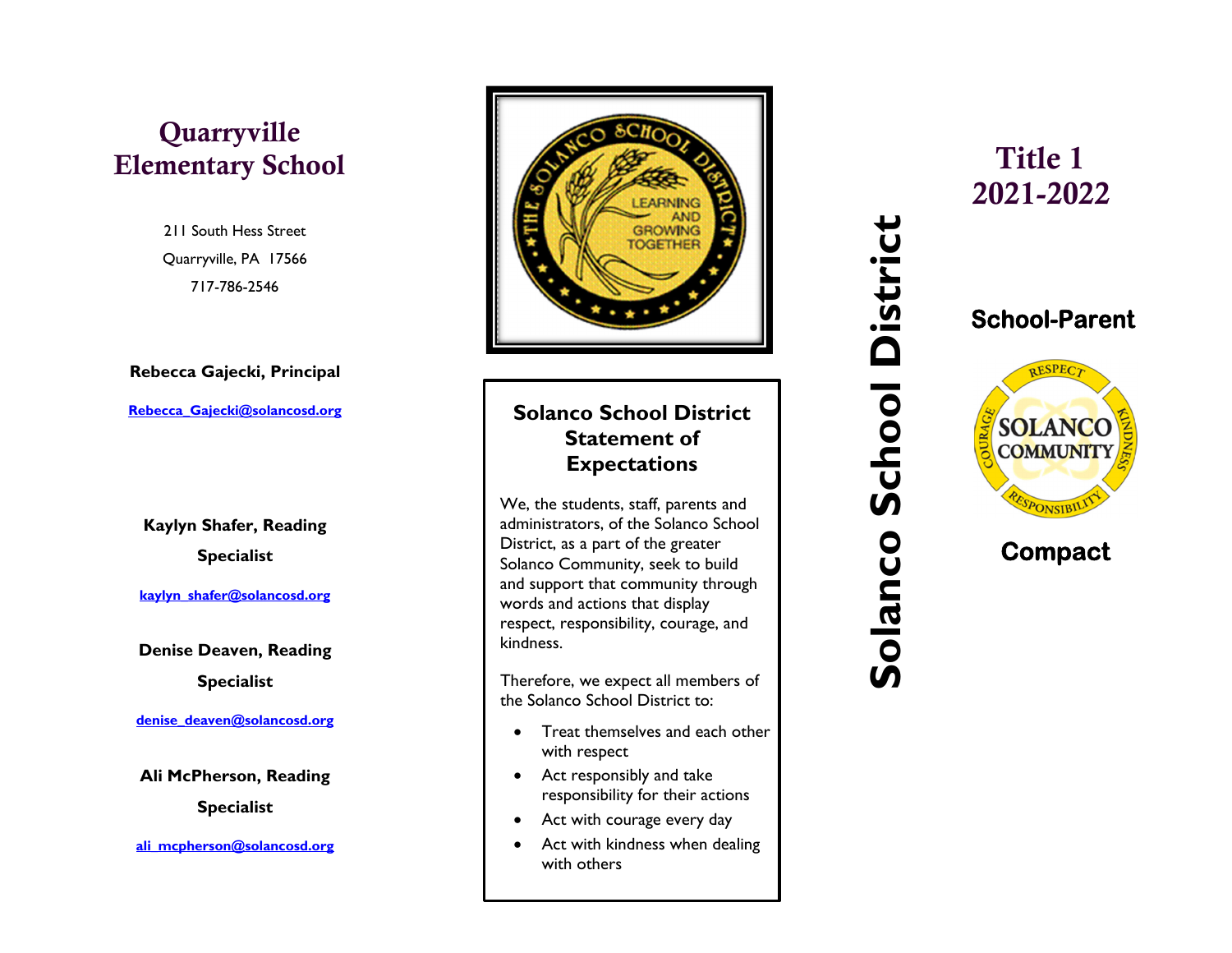# Quarryville

## 211 South Hess Street Quarryville, PA 17566 717-786-2546

### **Rebecca Gajecki, Principal**

**Rebecca\_Gajecki@solancosd.org** 

**Kaylyn Shafer, Reading Specialist** 

**kaylyn\_shafer@solancosd.org** 

**Denise Deaven, Reading Specialist** 

**denise\_deaven@solancosd.org** 

**Ali McPherson, Reading Specialist** 

**ali\_mcpherson@solancosd.org**



- $\bullet$  Treat themselves and each other with respect
- Act responsibly and take responsibility for their actions
- Act with courage every day
- $\bullet$  Act with kindness when dealing with others

2021-2022**School-Parent** 

 **Com pact** 

**SOLANCO COMMUNITY**